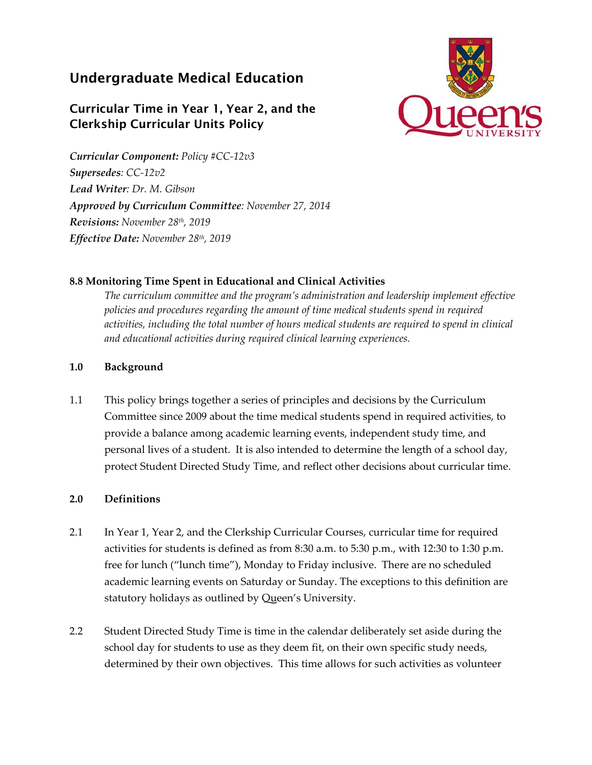# Undergraduate Medical Education

# Curricular Time in Year 1, Year 2, and the Clerkship Curricular Units Policy



*Curricular Component: Policy #CC‐12v3 Supersedes: CC‐12v2 Lead Writer: Dr. M. Gibson Approved by Curriculum Committee: November 27, 2014 Revisions: November 28th, 2019 Effective Date: November 28th, 2019*

#### **8.8 Monitoring Time Spent in Educational and Clinical Activities**

*The curriculum committee and the program's administration and leadership implement effective policies and procedures regarding the amount of time medical students spend in required activities, including the total number of hours medical students are required to spend in clinical and educational activities during required clinical learning experiences.* 

#### **1.0 Background**

1.1 This policy brings together a series of principles and decisions by the Curriculum Committee since 2009 about the time medical students spend in required activities, to provide a balance among academic learning events, independent study time, and personal lives of a student. It is also intended to determine the length of a school day, protect Student Directed Study Time, and reflect other decisions about curricular time.

#### **2.0 Definitions**

- 2.1 In Year 1, Year 2, and the Clerkship Curricular Courses, curricular time for required activities for students is defined as from 8:30 a.m. to 5:30 p.m., with 12:30 to 1:30 p.m. free for lunch ("lunch time"), Monday to Friday inclusive. There are no scheduled academic learning events on Saturday or Sunday. The exceptions to this definition are statutory holidays as outlined by Queen's University.
- 2.2 Student Directed Study Time is time in the calendar deliberately set aside during the school day for students to use as they deem fit, on their own specific study needs, determined by their own objectives. This time allows for such activities as volunteer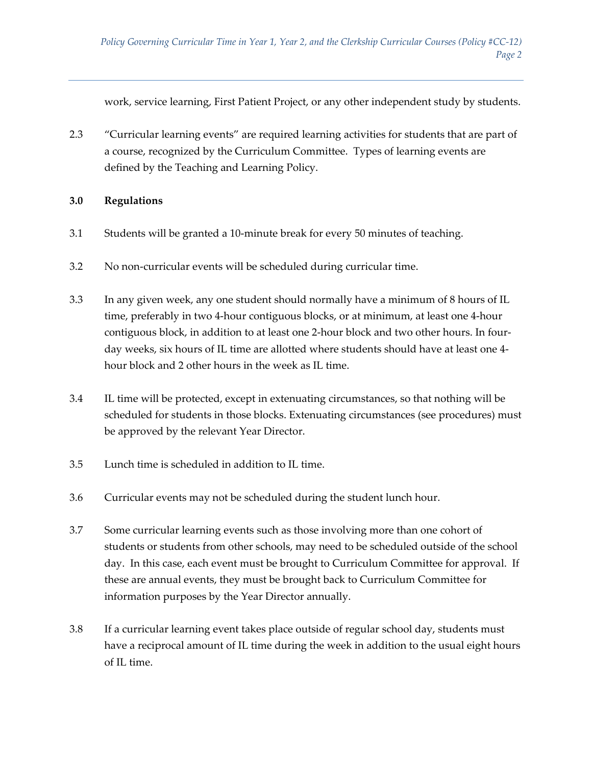work, service learning, First Patient Project, or any other independent study by students.

2.3 "Curricular learning events" are required learning activities for students that are part of a course, recognized by the Curriculum Committee. Types of learning events are defined by the Teaching and Learning Policy.

#### **3.0 Regulations**

- 3.1 Students will be granted a 10‐minute break for every 50 minutes of teaching.
- 3.2 No non-curricular events will be scheduled during curricular time.
- 3.3 In any given week, any one student should normally have a minimum of 8 hours of IL time, preferably in two 4‐hour contiguous blocks, or at minimum, at least one 4‐hour contiguous block, in addition to at least one 2‐hour block and two other hours. In four‐ day weeks, six hours of IL time are allotted where students should have at least one 4‐ hour block and 2 other hours in the week as IL time.
- 3.4 IL time will be protected, except in extenuating circumstances, so that nothing will be scheduled for students in those blocks. Extenuating circumstances (see procedures) must be approved by the relevant Year Director.
- 3.5 Lunch time is scheduled in addition to IL time.
- 3.6 Curricular events may not be scheduled during the student lunch hour.
- 3.7 Some curricular learning events such as those involving more than one cohort of students or students from other schools, may need to be scheduled outside of the school day. In this case, each event must be brought to Curriculum Committee for approval. If these are annual events, they must be brought back to Curriculum Committee for information purposes by the Year Director annually.
- 3.8 If a curricular learning event takes place outside of regular school day, students must have a reciprocal amount of IL time during the week in addition to the usual eight hours of IL time.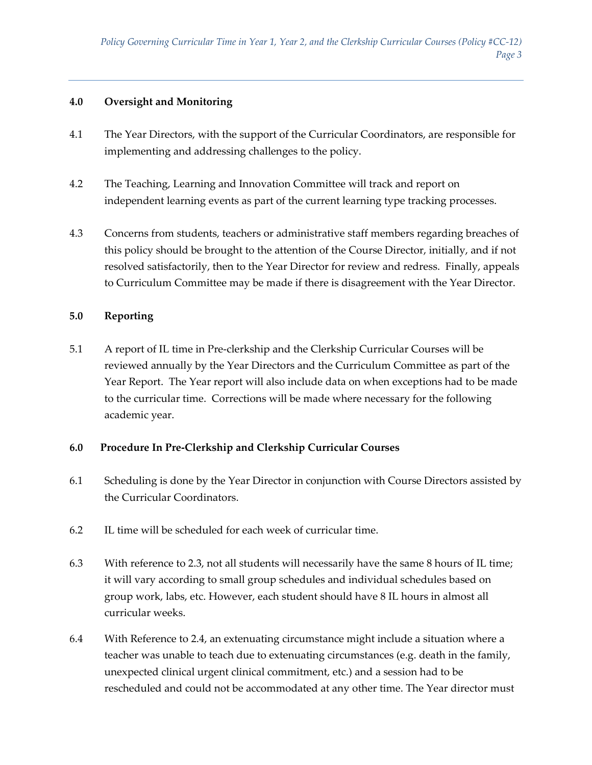### **4.0 Oversight and Monitoring**

- 4.1 The Year Directors, with the support of the Curricular Coordinators, are responsible for implementing and addressing challenges to the policy.
- 4.2 The Teaching, Learning and Innovation Committee will track and report on independent learning events as part of the current learning type tracking processes.
- 4.3 Concerns from students, teachers or administrative staff members regarding breaches of this policy should be brought to the attention of the Course Director, initially, and if not resolved satisfactorily, then to the Year Director for review and redress. Finally, appeals to Curriculum Committee may be made if there is disagreement with the Year Director.

# **5.0 Reporting**

5.1 A report of IL time in Pre-clerkship and the Clerkship Curricular Courses will be reviewed annually by the Year Directors and the Curriculum Committee as part of the Year Report. The Year report will also include data on when exceptions had to be made to the curricular time. Corrections will be made where necessary for the following academic year.

# **6.0 Procedure In Pre‐Clerkship and Clerkship Curricular Courses**

- 6.1 Scheduling is done by the Year Director in conjunction with Course Directors assisted by the Curricular Coordinators.
- 6.2 IL time will be scheduled for each week of curricular time.
- 6.3 With reference to 2.3, not all students will necessarily have the same 8 hours of IL time; it will vary according to small group schedules and individual schedules based on group work, labs, etc. However, each student should have 8 IL hours in almost all curricular weeks.
- 6.4 With Reference to 2.4, an extenuating circumstance might include a situation where a teacher was unable to teach due to extenuating circumstances (e.g. death in the family, unexpected clinical urgent clinical commitment, etc.) and a session had to be rescheduled and could not be accommodated at any other time. The Year director must